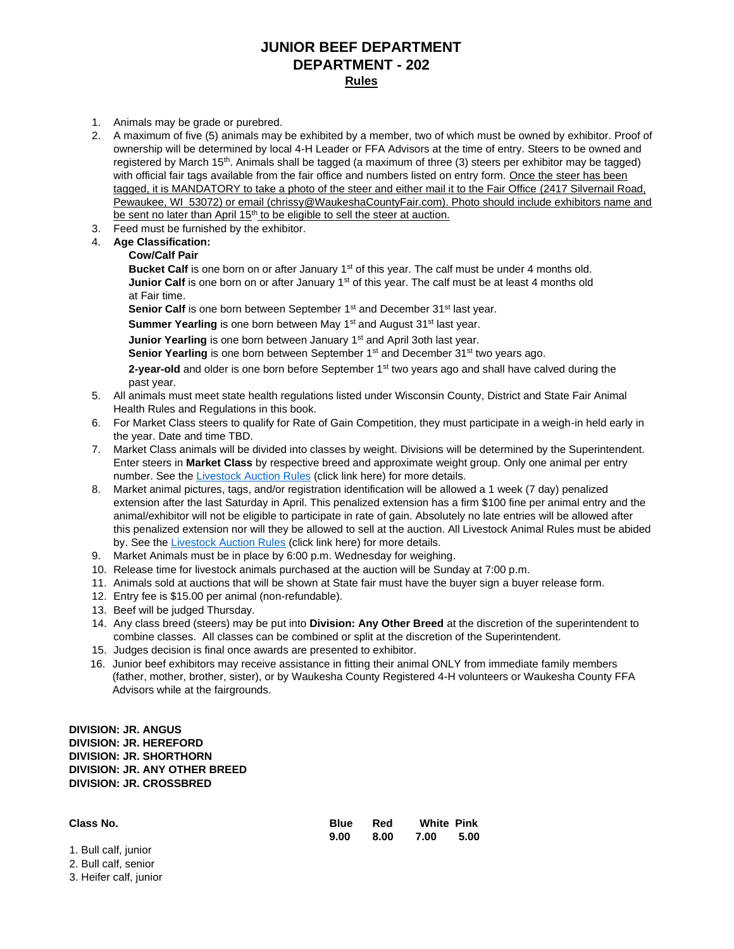## **JUNIOR BEEF DEPARTMENT DEPARTMENT - 202 Rules**

- 1. Animals may be grade or purebred.
- 2. A maximum of five (5) animals may be exhibited by a member, two of which must be owned by exhibitor. Proof of ownership will be determined by local 4-H Leader or FFA Advisors at the time of entry. Steers to be owned and registered by March 15th. Animals shall be tagged (a maximum of three (3) steers per exhibitor may be tagged) with official fair tags available from the fair office and numbers listed on entry form. Once the steer has been tagged, it is MANDATORY to take a photo of the steer and either mail it to the Fair Office (2417 Silvernail Road, Pewaukee, WI 53072) or email (chrissy@WaukeshaCountyFair.com). Photo should include exhibitors name and be sent no later than April 15<sup>th</sup> to be eligible to sell the steer at auction.
- 3. Feed must be furnished by the exhibitor.

#### 4. **Age Classification:**

#### **Cow/Calf Pair**

Bucket Calf is one born on or after January 1<sup>st</sup> of this year. The calf must be under 4 months old. **Junior Calf** is one born on or after January 1<sup>st</sup> of this year. The calf must be at least 4 months old at Fair time.

**Senior Calf** is one born between September 1<sup>st</sup> and December 31<sup>st</sup> last year.

**Summer Yearling** is one born between May 1<sup>st</sup> and August 31<sup>st</sup> last year.

**Junior Yearling** is one born between January 1<sup>st</sup> and April 3oth last year.

**Senior Yearling** is one born between September 1<sup>st</sup> and December 31<sup>st</sup> two years ago.

2-year-old and older is one born before September 1<sup>st</sup> two years ago and shall have calved during the past year.

- 5. All animals must meet state health regulations listed under Wisconsin County, District and State Fair Animal Health Rules and Regulations in this book.
- 6. For Market Class steers to qualify for Rate of Gain Competition, they must participate in a weigh-in held early in the year. Date and time TBD.
- 7. Market Class animals will be divided into classes by weight. Divisions will be determined by the Superintendent. Enter steers in **Market Class** by respective breed and approximate weight group. Only one animal per entry number. See the [Livestock Auction Rules](https://www.waukeshacountyfair.com/wp-content/uploads/2022/03/2022-LivestockAUCTIONRules.pdf) (click link here) for more details.
- 8. Market animal pictures, tags, and/or registration identification will be allowed a 1 week (7 day) penalized extension after the last Saturday in April. This penalized extension has a firm \$100 fine per animal entry and the animal/exhibitor will not be eligible to participate in rate of gain. Absolutely no late entries will be allowed after this penalized extension nor will they be allowed to sell at the auction. All Livestock Animal Rules must be abided by. See th[e Livestock Auction Rules](https://www.waukeshacountyfair.com/wp-content/uploads/2022/03/2022-LivestockAUCTIONRules.pdf) (click link here) for more details.
- 9. Market Animals must be in place by 6:00 p.m. Wednesday for weighing.
- 10. Release time for livestock animals purchased at the auction will be Sunday at 7:00 p.m.
- 11. Animals sold at auctions that will be shown at State fair must have the buyer sign a buyer release form.
- 12. Entry fee is \$15.00 per animal (non-refundable).
- 13. Beef will be judged Thursday.
- 14. Any class breed (steers) may be put into **Division: Any Other Breed** at the discretion of the superintendent to combine classes. All classes can be combined or split at the discretion of the Superintendent.
- 15. Judges decision is final once awards are presented to exhibitor.
- 16. Junior beef exhibitors may receive assistance in fitting their animal ONLY from immediate family members (father, mother, brother, sister), or by Waukesha County Registered 4-H volunteers or Waukesha County FFA Advisors while at the fairgrounds.

#### **DIVISION: JR. ANGUS DIVISION: JR. HEREFORD DIVISION: JR. SHORTHORN DIVISION: JR. ANY OTHER BREED DIVISION: JR. CROSSBRED**

2. Bull calf, senior 3. Heifer calf, junior

| Class No.            | <b>Blue</b> | Red  | <b>White Pink</b> |      |
|----------------------|-------------|------|-------------------|------|
|                      | 9.00        | 8.00 | 7.00              | 5.00 |
| 1. Bull calf, junior |             |      |                   |      |